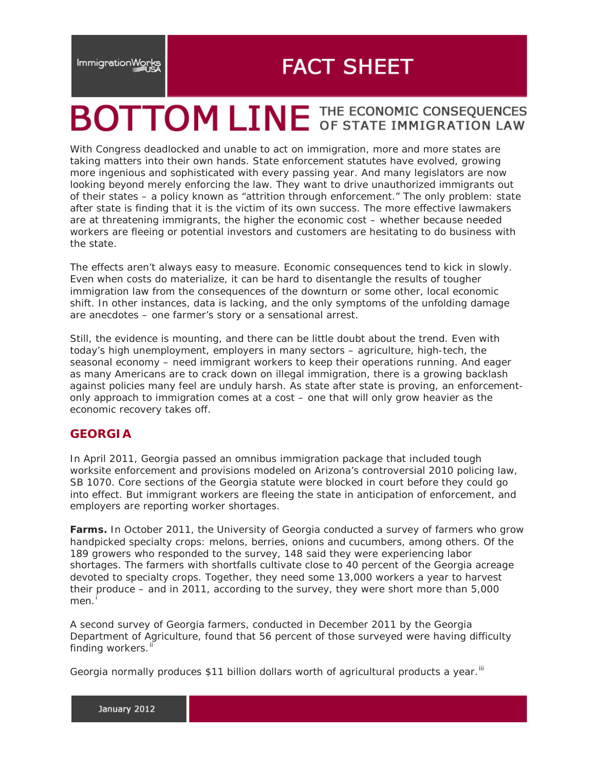# **FACT SHEET**

# **BOTTOM LINE THE ECONOMIC CONSEQUENCES**

With Congress deadlocked and unable to act on immigration, more and more states are taking matters into their own hands. State enforcement statutes have evolved, growing more ingenious and sophisticated with every passing year. And many legislators are now looking beyond merely enforcing the law. They want to drive unauthorized immigrants out of their states – a policy known as "attrition through enforcement." The only problem: state after state is finding that it is the victim of its own success. The more effective lawmakers are at threatening immigrants, the higher the economic cost – whether because needed workers are fleeing or potential investors and customers are hesitating to do business with the state.

The effects aren't always easy to measure. Economic consequences tend to kick in slowly. Even when costs do materialize, it can be hard to disentangle the results of tougher immigration law from the consequences of the downturn or some other, local economic shift. In other instances, data is lacking, and the only symptoms of the unfolding damage are anecdotes – one farmer's story or a sensational arrest.

Still, the evidence is mounting, and there can be little doubt about the trend. Even with today's high unemployment, employers in many sectors – agriculture, high-tech, the seasonal economy – need immigrant workers to keep their operations running. And eager as many Americans are to crack down on illegal immigration, there is a growing backlash against policies many feel are unduly harsh. As state after state is proving, an enforcementonly approach to immigration comes at a cost – one that will only grow heavier as the economic recovery takes off.

# **GEORGIA**

In April 2011, Georgia passed an omnibus immigration package that included tough worksite enforcement and provisions modeled on Arizona's controversial 2010 policing law, SB 1070. Core sections of the Georgia statute were blocked in court before they could go into effect. But immigrant workers are fleeing the state in anticipation of enforcement, and employers are reporting worker shortages.

**Farms.** In October 2011, the University of Georgia conducted a survey of farmers who grow handpicked specialty crops: melons, berries, onions and cucumbers, among others. Of the 189 growers who responded to the survey, 148 said they were experiencing labor shortages. The farmers with shortfalls cultivate close to 40 percent of the Georgia acreage devoted to specialty crops. Together, they need some 13,000 workers a year to harvest their produce – and in 2011, according to the survey, they were short more than 5,000 men. <sup>[i](#page-4-0)</sup>

A second survey of Georgia farmers, conducted in December 2011 by the Georgia Department of Agriculture, found that 56 percent of those surveyed were having difficulty finding workers.

Georgia normally produces \$11 billion dollars worth of agricultural products a year.<sup>[iii](#page-4-2)</sup>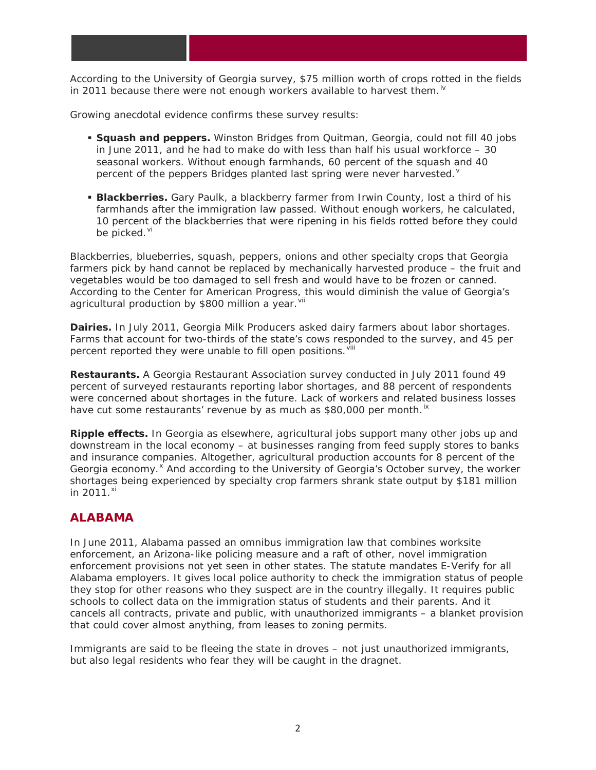According to the University of Georgia survey, \$75 million worth of crops rotted in the fields in 2011 because there were not enough workers available to harvest them.<sup>[iv](#page-4-3)</sup>

Growing anecdotal evidence confirms these survey results:

- **Squash and peppers.** Winston Bridges from Quitman, Georgia, could not fill 40 jobs in June 2011, and he had to make do with less than half his usual workforce – 30 seasonal workers. Without enough farmhands, 60 percent of the squash and 40 percent of the peppers Bridges planted last spring were ne[v](#page-4-4)er harvested. $^{\vee}$
- **Blackberries.** Gary Paulk, a blackberry farmer from Irwin County, lost a third of his farmhands after the immigration law passed. Without enough workers, he calculated, 10 percent of the blackberries that were ripening in his fields rotted before they could be picked. Vi

Blackberries, blueberries, squash, peppers, onions and other specialty crops that Georgia farmers pick by hand cannot be replaced by mechanically harvested produce – the fruit and vegetables would be too damaged to sell fresh and would have to be frozen or canned. According to the Center for American Progress, this would diminish the value of Georgia's agricultural production by \$800 million a year. Vil

**Dairies.** In July 2011, Georgia Milk Producers asked dairy farmers about labor shortages. Farms that account for two-thirds of the state's cows responded to the survey, and 45 per percent reported they were unable to fill open positions. Vill

**Restaurants.** A Georgia Restaurant Association survey conducted in July 2011 found 49 percent of surveyed restaurants reporting labor shortages, and 88 percent of respondents were concerned about shortages in the future. Lack of workers and related business losses have cut some restaurants' revenue by as much as \$80,000 per month.<sup>[ix](#page-4-8)</sup>

**Ripple effects.** In Georgia as elsewhere, agricultural jobs support many other jobs up and downstream in the local economy – at businesses ranging from feed supply stores to banks and insurance companies. Altogether, agricultural production accounts for 8 percent of the Georgia economy.<sup>[x](#page-4-9)</sup> And according to the University of Georgia's October survey, the worker shortages being experienced by specialty crop farmers shrank state output by \$181 million in 2011. [xi](#page-4-10)

## **ALABAMA**

In June 2011, Alabama passed an omnibus immigration law that combines worksite enforcement, an Arizona-like policing measure and a raft of other, novel immigration enforcement provisions not yet seen in other states. The statute mandates E-Verify for all Alabama employers. It gives local police authority to check the immigration status of people they stop for other reasons who they suspect are in the country illegally. It requires public schools to collect data on the immigration status of students and their parents. And it cancels all contracts, private and public, with unauthorized immigrants – a blanket provision that could cover almost anything, from leases to zoning permits.

Immigrants are said to be fleeing the state in droves – not just unauthorized immigrants, but also legal residents who fear they will be caught in the dragnet.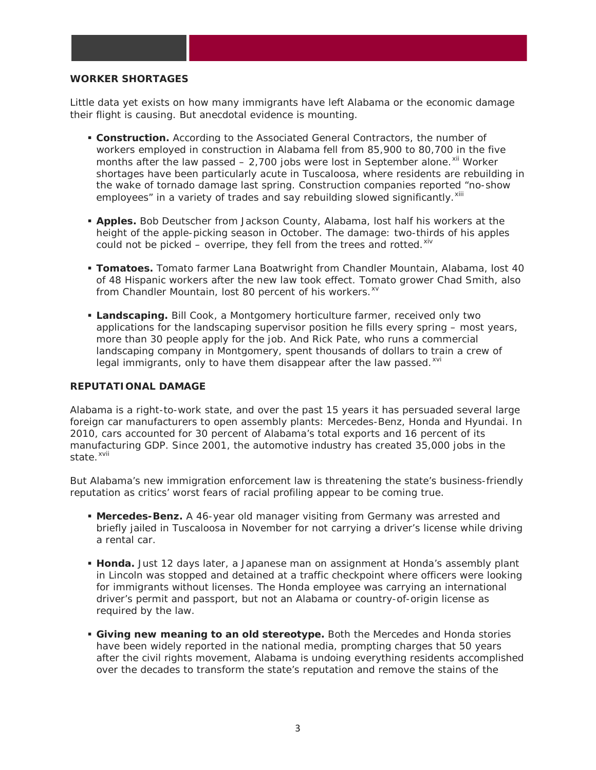#### **WORKER SHORTAGES**

Little data yet exists on how many immigrants have left Alabama or the economic damage their flight is causing. But anecdotal evidence is mounting.

- **Construction.** According to the Associated General Contractors, the number of workers employed in construction in Alabama fell from 85,900 to 80,700 in the five months after the law passed  $-2,700$  jobs were lost in September alone.  $x$ <sup>ii</sup> Worker shortages have been particularly acute in Tuscaloosa, where residents are rebuilding in the wake of tornado damage last spring. Construction companies reported "no-show employees" in a variety of trades and say rebuilding slowed significantly. XIII
- **Apples.** Bob Deutscher from Jackson County, Alabama, lost half his workers at the height of the apple-picking season in October. The damage: two-thirds of his apples could not be picked – overripe, they fell from the trees and rotted. $x^i$
- **Tomatoes.** Tomato farmer Lana Boatwright from Chandler Mountain, Alabama, lost 40 of 48 Hispanic workers after the new law took effect. Tomato grower Chad Smith, also from Chandler Mountain, lost 80 percent of his workers.<sup>[xv](#page-4-14)</sup>
- **Landscaping.** Bill Cook, a Montgomery horticulture farmer, received only two applications for the landscaping supervisor position he fills every spring – most years, more than 30 people apply for the job. And Rick Pate, who runs a commercial landscaping company in Montgomery, spent thousands of dollars to train a crew of legal immigrants, only to have them disappear after the law passed. XVI

#### **REPUTATIONAL DAMAGE**

Alabama is a right-to-work state, and over the past 15 years it has persuaded several large foreign car manufacturers to open assembly plants: Mercedes-Benz, Honda and Hyundai. In 2010, cars accounted for 30 percent of Alabama's total exports and 16 percent of its manufacturing GDP. Since 2001, the automotive industry has created 35,000 jobs in the state. [xvii](#page-4-16)

But Alabama's new immigration enforcement law is threatening the state's business-friendly reputation as critics' worst fears of racial profiling appear to be coming true.

- **Mercedes-Benz.** A 46-year old manager visiting from Germany was arrested and briefly jailed in Tuscaloosa in November for not carrying a driver's license while driving a rental car.
- **Honda.** Just 12 days later, a Japanese man on assignment at Honda's assembly plant in Lincoln was stopped and detained at a traffic checkpoint where officers were looking for immigrants without licenses. The Honda employee was carrying an international driver's permit and passport, but not an Alabama or country-of-origin license as required by the law.
- **Giving new meaning to an old stereotype.** Both the Mercedes and Honda stories have been widely reported in the national media, prompting charges that 50 years after the civil rights movement, Alabama is undoing everything residents accomplished over the decades to transform the state's reputation and remove the stains of the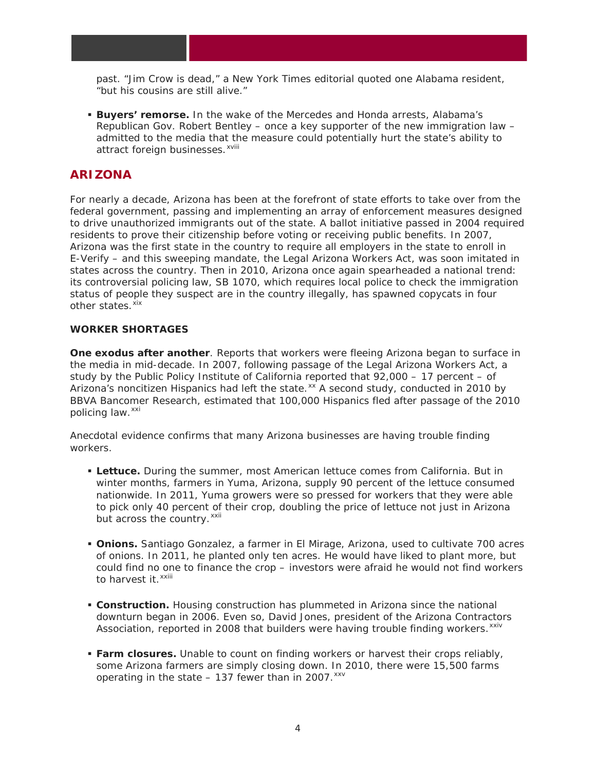past. "Jim Crow is dead," a *New York Times* editorial quoted one Alabama resident, "but his cousins are still alive."

 **Buyers' remorse.** In the wake of the Mercedes and Honda arrests, Alabama's Republican Gov. Robert Bentley – once a key supporter of the new immigration law – admitted to the media that the measure could potentially hurt the state's ability to attract fore[i](#page-4-17)gn businesses. <sup>xviii</sup>

## **ARIZONA**

For nearly a decade, Arizona has been at the forefront of state efforts to take over from the federal government, passing and implementing an array of enforcement measures designed to drive unauthorized immigrants out of the state. A ballot initiative passed in 2004 required residents to prove their citizenship before voting or receiving public benefits. In 2007, Arizona was the first state in the country to require all employers in the state to enroll in E-Verify – and this sweeping mandate, the Legal Arizona Workers Act, was soon imitated in states across the country. Then in 2010, Arizona once again spearheaded a national trend: its controversial policing law, SB 1070, which requires local police to check the immigration status of people they suspect are in the country illegally, has spawned copycats in four other states.<sup>[xix](#page-4-18)</sup>

#### **WORKER SHORTAGES**

**One exodus after another**. Reports that workers were fleeing Arizona began to surface in the media in mid-decade. In 2007, following passage of the Legal Arizona Workers Act, a study by the Public Policy Institute of California reported that 92,000 – 17 percent – of Arizona's noncitizen Hispanics had left the state. XX A second study, conducted in 2010 by BBVA Bancomer Research, estimated that 100,000 Hispanics fled after passage of the 2010 policing law.<sup>[xxi](#page-4-20)</sup>

Anecdotal evidence confirms that many Arizona businesses are having trouble finding workers.

- **Lettuce.** During the summer, most American lettuce comes from California. But in winter months, farmers in Yuma, Arizona, supply 90 percent of the lettuce consumed nationwide. In 2011, Yuma growers were so pressed for workers that they were able to pick only 40 percent of their crop, doubling the price of lettuce not just in Arizona but across the country. [xxii](#page-4-21)
- **Onions.** Santiago Gonzalez, a farmer in El Mirage, Arizona, used to cultivate 700 acres of onions. In 2011, he planted only ten acres. He would have liked to plant more, but could find no one to finance the crop – investors were afraid he would not find workers to harvest it.<sup>xxiii</sup>
- **Construction.** Housing construction has plummeted in Arizona since the national downturn began in 2006. Even so, David Jones, president of the Arizona Contractors Association, reported in 2008 that builders were having trouble finding workers. XXIV
- **Farm closures.** Unable to count on finding workers or harvest their crops reliably, some Arizona farmers are simply closing down. In 2010, there were 15,500 farms operating in the state  $-137$  fewer than in 2007.  $xxy$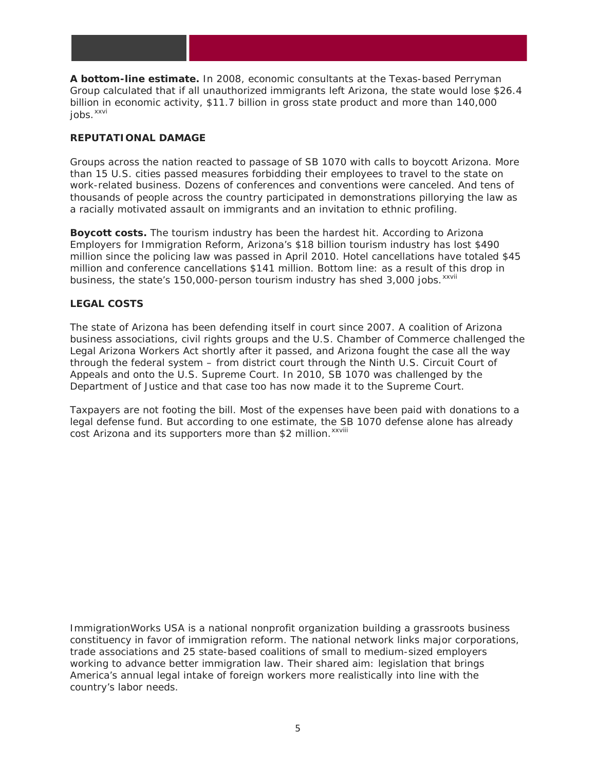<span id="page-4-1"></span><span id="page-4-0"></span>**A bottom-line estimate.** In 2008, economic consultants at the Texas-based Perryman Group calculated that if all unauthorized immigrants left Arizona, the state would lose \$26.4 billion in economic activity, \$11.7 billion in gross state product and more than 140,000 jobs. [xxvi](#page-4-24)

#### <span id="page-4-3"></span><span id="page-4-2"></span>**REPUTATIONAL DAMAGE**

<span id="page-4-5"></span><span id="page-4-4"></span>Groups across the nation reacted to passage of SB 1070 with calls to boycott Arizona. More than 15 U.S. cities passed measures forbidding their employees to travel to the state on work-related business. Dozens of conferences and conventions were canceled. And tens of thousands of people across the country participated in demonstrations pillorying the law as a racially motivated assault on immigrants and an invitation to ethnic profiling.

<span id="page-4-7"></span><span id="page-4-6"></span>business, the state's 150,000-person tourism industry has shed 3,000 jobs.<sup>xxvii</sup> **Boycott costs.** The tourism industry has been the hardest hit. According to Arizona Employers for Immigration Reform, Arizona's \$18 billion tourism industry has lost \$490 million since the policing law was passed in April 2010. Hotel cancellations have totaled \$45 million and conference cancellations \$141 million. Bottom line: as a result of this drop in

#### <span id="page-4-10"></span><span id="page-4-9"></span><span id="page-4-8"></span>**LEGAL COSTS**

<span id="page-4-12"></span><span id="page-4-11"></span>The state of Arizona has been defending itself in court since 2007. A coalition of Arizona business associations, civil rights groups and the U.S. Chamber of Commerce challenged the Legal Arizona Workers Act shortly after it passed, and Arizona fought the case all the way through the federal system – from district court through the Ninth U.S. Circuit Court of Appeals and onto the U.S. Supreme Court. In 2010, SB 1070 was challenged by the Department of Justice and that case too has now made it to the Supreme Court.

<span id="page-4-18"></span><span id="page-4-17"></span><span id="page-4-16"></span><span id="page-4-15"></span><span id="page-4-14"></span><span id="page-4-13"></span>cost Arizona and its supporters more than \$2 million. XXVIII Taxpayers are not footing the bill. Most of the expenses have been paid with donations to a legal defense fund. But according to one estimate, the SB 1070 defense alone has already

<span id="page-4-24"></span><span id="page-4-23"></span><span id="page-4-22"></span><span id="page-4-21"></span><span id="page-4-20"></span><span id="page-4-19"></span>*ImmigrationWorks USA is a national nonprofit organization building a grassroots business constituency in favor of immigration reform. The national network links major corporations, trade associations and 25 state-based coalitions of small to medium-sized employers working to advance better immigration law. Their shared aim: legislation that brings America's annual legal intake of foreign workers more realistically into line with the country's labor needs.*